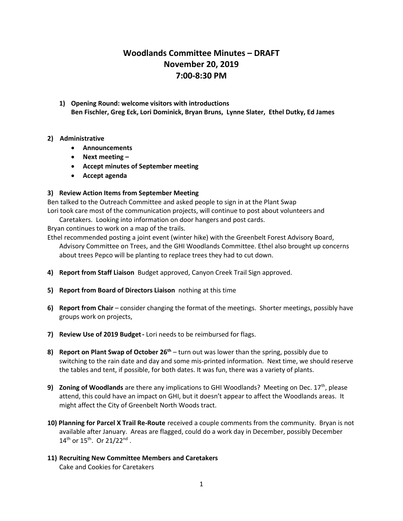## **Woodlands Committee Minutes – DRAFT November 20, 2019 7:00-8:30 PM**

**1) Opening Round: welcome visitors with introductions Ben Fischler, Greg Eck, Lori Dominick, Bryan Bruns, Lynne Slater, Ethel Dutky, Ed James**

## **2) Administrative**

- **Announcements**
- **Next meeting –**
- **Accept minutes of September meeting**
- **Accept agenda**

## **3) Review Action Items from September Meeting**

Ben talked to the Outreach Committee and asked people to sign in at the Plant Swap Lori took care most of the communication projects, will continue to post about volunteers and

Caretakers. Looking into information on door hangers and post cards.

Bryan continues to work on a map of the trails.

Ethel recommended posting a joint event (winter hike) with the Greenbelt Forest Advisory Board, Advisory Committee on Trees, and the GHI Woodlands Committee. Ethel also brought up concerns about trees Pepco will be planting to replace trees they had to cut down.

- **4) Report from Staff Liaison** Budget approved, Canyon Creek Trail Sign approved.
- **5) Report from Board of Directors Liaison** nothing at this time
- **6) Report from Chair** consider changing the format of the meetings. Shorter meetings, possibly have groups work on projects,
- **7) Review Use of 2019 Budget-** Lori needs to be reimbursed for flags.
- **8) Report on Plant Swap of October 26th** turn out was lower than the spring, possibly due to switching to the rain date and day and some mis-printed information. Next time, we should reserve the tables and tent, if possible, for both dates. It was fun, there was a variety of plants.
- **9)** Zoning of Woodlands are there any implications to GHI Woodlands? Meeting on Dec. 17<sup>th</sup>, please attend, this could have an impact on GHI, but it doesn't appear to affect the Woodlands areas. It might affect the City of Greenbelt North Woods tract.
- **10) Planning for Parcel X Trail Re-Route** received a couple comments from the community. Bryan is not available after January. Areas are flagged, could do a work day in December, possibly December  $14^{th}$  or  $15^{th}$ . Or  $21/22^{nd}$ .
- **11) Recruiting New Committee Members and Caretakers** Cake and Cookies for Caretakers